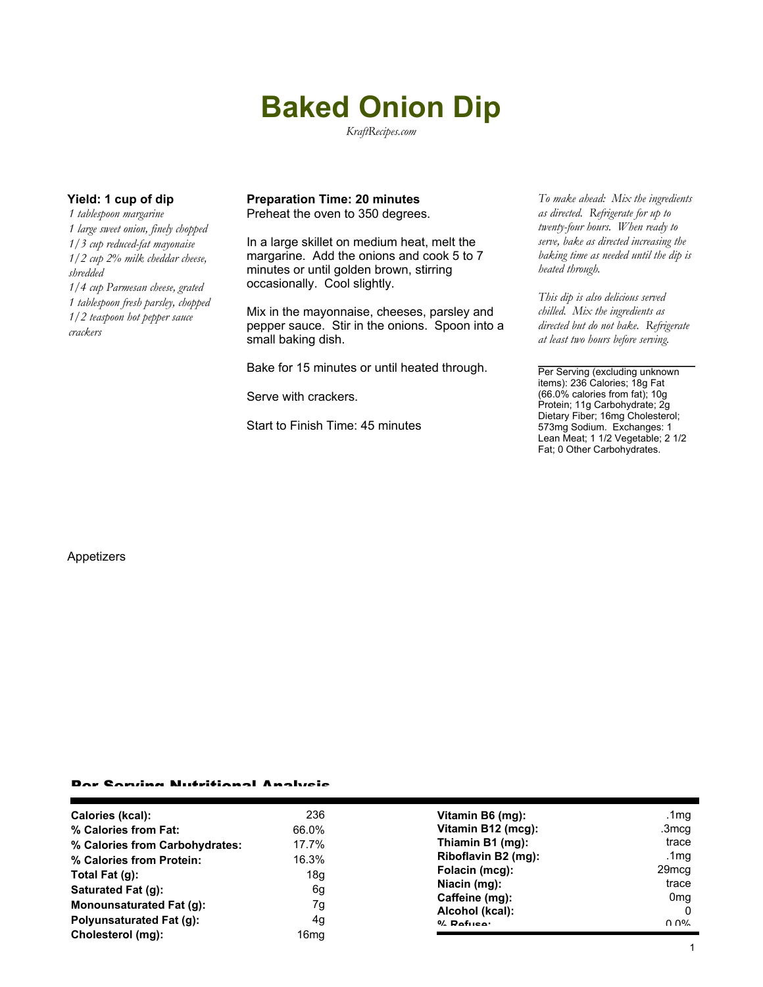# **Baked Onion Dip**

*KraftRecipes.com*

*1 tablespoon margarine 1 large sweet onion, finely chopped 1/3 cup reduced-fat mayonaise 1/2 cup 2% milk cheddar cheese, shredded 1/4 cup Parmesan cheese, grated 1 tablespoon fresh parsley, chopped 1/2 teaspoon hot pepper sauce crackers*

#### **Yield: 1 cup of dip Preparation Time: 20 minutes** *To make ahead: Mix the ingredients* Preheat the oven to 350 degrees.

In a large skillet on medium heat, melt the margarine. Add the onions and cook 5 to 7 minutes or until golden brown, stirring occasionally. Cool slightly.

Mix in the mayonnaise, cheeses, parsley and pepper sauce. Stir in the onions. Spoon into a small baking dish.

Bake for 15 minutes or until heated through.

Serve with crackers.

Start to Finish Time: 45 minutes

*as directed. Refrigerate for up to twenty-four hours. When ready to serve, bake as directed increasing the baking time as needed until the dip is heated through.*

*This dip is also delicious served chilled. Mix the ingredients as directed but do not bake. Refrigerate at least two hours before serving.*

Per Serving (excluding unknown items): 236 Calories; 18g Fat (66.0% calories from fat); 10g Protein; 11g Carbohydrate; 2g Dietary Fiber; 16mg Cholesterol; 573mg Sodium. Exchanges: 1 Lean Meat; 1 1/2 Vegetable; 2 1/2 Fat; 0 Other Carbohydrates.

#### Appetizers

### Per Serving Nutritional Analysis

| 236   | Vitamin B6 (mg):                     | .1mg              |
|-------|--------------------------------------|-------------------|
| 66.0% | Vitamin B12 (mcg):                   | .3mcg             |
| 17.7% | Thiamin B1 (mg):                     | trace             |
|       | Riboflavin B2 (mg):                  | .1 $mg$           |
|       | Folacin (mcg):                       | 29 <sub>mcg</sub> |
|       | Niacin (mg):                         | trace             |
|       | Caffeine (mg):                       | 0 <sub>mq</sub>   |
|       |                                      | 0                 |
| 4g    | $0/2$ Pofuso:                        | በ በ%              |
| 16mg  |                                      |                   |
|       | 16.3%<br>18 <sub>g</sub><br>6g<br>7g | Alcohol (kcal):   |